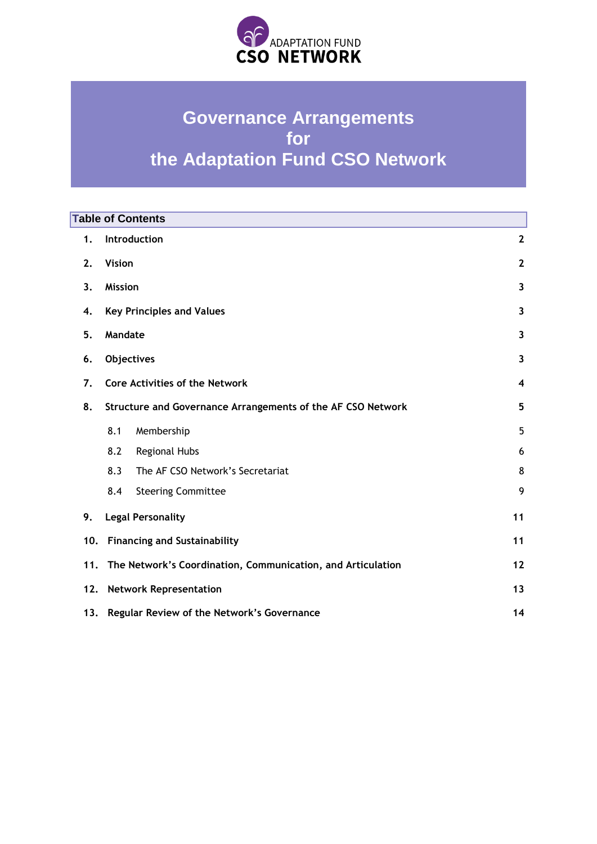

# **Governance Arrangements for the Adaptation Fund CSO Network**

| <b>Table of Contents</b> |                                                             |                                                             |                         |
|--------------------------|-------------------------------------------------------------|-------------------------------------------------------------|-------------------------|
| 1.                       | Introduction                                                |                                                             | $\mathbf{2}$            |
| 2.                       | <b>Vision</b>                                               |                                                             | $\mathbf{2}$            |
| 3.                       | <b>Mission</b>                                              |                                                             | $\overline{\mathbf{3}}$ |
| 4.                       | <b>Key Principles and Values</b>                            |                                                             | 3                       |
| 5.                       | Mandate                                                     |                                                             | 3                       |
| 6.                       | <b>Objectives</b>                                           |                                                             | 3                       |
| 7.                       | <b>Core Activities of the Network</b>                       |                                                             | $\overline{\mathbf{4}}$ |
| 8.                       |                                                             | Structure and Governance Arrangements of the AF CSO Network |                         |
|                          | 8.1                                                         | Membership                                                  | 5                       |
|                          | 8.2                                                         | <b>Regional Hubs</b>                                        | 6                       |
|                          | 8.3                                                         | The AF CSO Network's Secretariat                            | 8                       |
|                          | 8.4                                                         | <b>Steering Committee</b>                                   | 9                       |
| 9.                       | <b>Legal Personality</b>                                    |                                                             | 11                      |
| 10.                      | <b>Financing and Sustainability</b>                         |                                                             | 11                      |
| 11.                      | The Network's Coordination, Communication, and Articulation | 12                                                          |                         |
| 12.                      | <b>Network Representation</b>                               |                                                             |                         |
| 13.                      | 14<br>Regular Review of the Network's Governance            |                                                             |                         |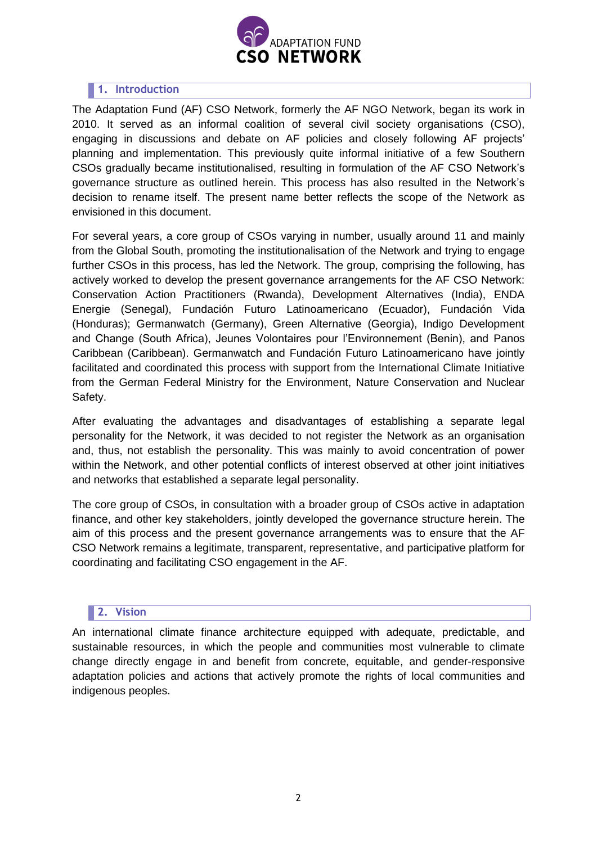

# <span id="page-1-0"></span>**1. Introduction**

The Adaptation Fund (AF) CSO Network, formerly the AF NGO Network, began its work in 2010. It served as an informal coalition of several civil society organisations (CSO), engaging in discussions and debate on AF policies and closely following AF projects' planning and implementation. This previously quite informal initiative of a few Southern CSOs gradually became institutionalised, resulting in formulation of the AF CSO Network's governance structure as outlined herein. This process has also resulted in the Network's decision to rename itself. The present name better reflects the scope of the Network as envisioned in this document.

For several years, a core group of CSOs varying in number, usually around 11 and mainly from the Global South, promoting the institutionalisation of the Network and trying to engage further CSOs in this process, has led the Network. The group, comprising the following, has actively worked to develop the present governance arrangements for the AF CSO Network: Conservation Action Practitioners (Rwanda), Development Alternatives (India), ENDA Energie (Senegal), Fundación Futuro Latinoamericano (Ecuador), Fundación Vida (Honduras); Germanwatch (Germany), Green Alternative (Georgia), Indigo Development and Change (South Africa), Jeunes Volontaires pour l'Environnement (Benin), and [Panos](https://www.ffla.net/en/about-us/)  [Caribbean \(Caribbean\).](https://www.ffla.net/en/about-us/) Germanwatch and Fundación Futuro Latinoamericano have jointly facilitated and coordinated this process with support from the International Climate Initiative from the German Federal Ministry for the Environment, Nature Conservation and Nuclear Safety.

After evaluating the advantages and disadvantages of establishing a separate legal personality for the Network, it was decided to not register the Network as an organisation and, thus, not establish the personality. This was mainly to avoid concentration of power within the Network, and other potential conflicts of interest observed at other joint initiatives and networks that established a separate legal personality.

The core group of CSOs, in consultation with a broader group of CSOs active in adaptation finance, and other key stakeholders, jointly developed the governance structure herein. The aim of this process and the present governance arrangements was to ensure that the AF CSO Network remains a legitimate, transparent, representative, and participative platform for coordinating and facilitating CSO engagement in the AF.

# **2. Vision**

<span id="page-1-1"></span>An international climate finance architecture equipped with adequate, predictable, and sustainable resources, in which the people and communities most vulnerable to climate change directly engage in and benefit from concrete, equitable, and gender-responsive adaptation policies and actions that actively promote the rights of local communities and indigenous peoples.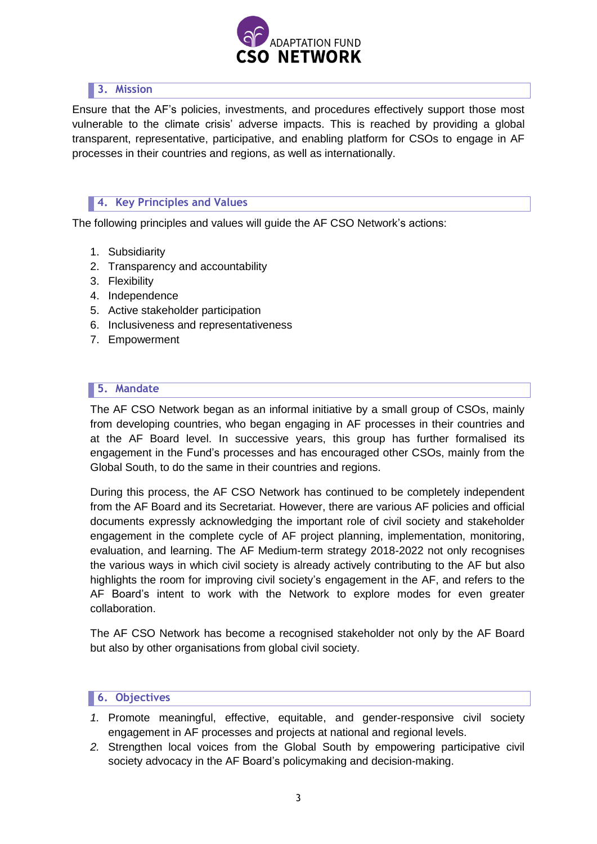

# <span id="page-2-0"></span>**3. Mission**

Ensure that the AF's policies, investments, and procedures effectively support those most vulnerable to the climate crisis' adverse impacts. This is reached by providing a global transparent, representative, participative, and enabling platform for CSOs to engage in AF processes in their countries and regions, as well as internationally.

# <span id="page-2-1"></span>**4. Key Principles and Values**

The following principles and values will guide the AF CSO Network's actions:

- 1. Subsidiarity
- 2. Transparency and accountability
- 3. Flexibility
- 4. Independence
- 5. Active stakeholder participation
- 6. Inclusiveness and representativeness
- 7. Empowerment

## <span id="page-2-2"></span>**5. Mandate**

The AF CSO Network began as an informal initiative by a small group of CSOs, mainly from developing countries, who began engaging in AF processes in their countries and at the AF Board level. In successive years, this group has further formalised its engagement in the Fund's processes and has encouraged other CSOs, mainly from the Global South, to do the same in their countries and regions.

During this process, the AF CSO Network has continued to be completely independent from the AF Board and its Secretariat. However, there are various AF policies and official documents expressly acknowledging the important role of civil society and stakeholder engagement in the complete cycle of AF project planning, implementation, monitoring, evaluation, and learning. The AF Medium-term strategy 2018-2022 not only recognises the various ways in which civil society is already actively contributing to the AF but also highlights the room for improving civil society's engagement in the AF, and refers to the AF Board's intent to work with the Network to explore modes for even greater collaboration.

The AF CSO Network has become a recognised stakeholder not only by the AF Board but also by other organisations from global civil society.

## <span id="page-2-3"></span>**6. Objectives**

- *1.* Promote meaningful, effective, equitable, and gender-responsive civil society engagement in AF processes and projects at national and regional levels.
- *2.* Strengthen local voices from the Global South by empowering participative civil society advocacy in the AF Board's policymaking and decision-making.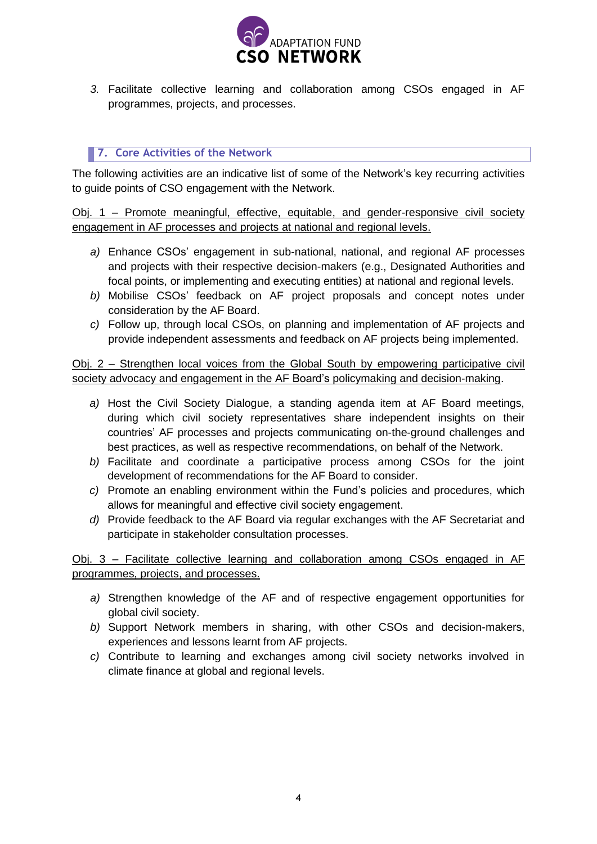

*3.* Facilitate collective learning and collaboration among CSOs engaged in AF programmes, projects, and processes.

# <span id="page-3-0"></span>**7. Core Activities of the Network**

The following activities are an indicative list of some of the Network's key recurring activities to guide points of CSO engagement with the Network.

Obj. 1 – Promote meaningful, effective, equitable, and gender-responsive civil society engagement in AF processes and projects at national and regional levels.

- *a)* Enhance CSOs' engagement in sub-national, national, and regional AF processes and projects with their respective decision-makers (e.g., Designated Authorities and focal points, or implementing and executing entities) at national and regional levels.
- *b)* Mobilise CSOs' feedback on AF project proposals and concept notes under consideration by the AF Board.
- *c)* Follow up, through local CSOs, on planning and implementation of AF projects and provide independent assessments and feedback on AF projects being implemented.

# Obj. 2 – Strengthen local voices from the Global South by empowering participative civil society advocacy and engagement in the AF Board's policymaking and decision-making.

- *a)* Host the Civil Society Dialogue, a standing agenda item at AF Board meetings, during which civil society representatives share independent insights on their countries' AF processes and projects communicating on-the-ground challenges and best practices, as well as respective recommendations, on behalf of the Network.
- *b)* Facilitate and coordinate a participative process among CSOs for the joint development of recommendations for the AF Board to consider.
- *c)* Promote an enabling environment within the Fund's policies and procedures, which allows for meaningful and effective civil society engagement.
- *d)* Provide feedback to the AF Board via regular exchanges with the AF Secretariat and participate in stakeholder consultation processes.

Obj. 3 – Facilitate collective learning and collaboration among CSOs engaged in AF programmes, projects, and processes.

- *a)* Strengthen knowledge of the AF and of respective engagement opportunities for global civil society.
- *b)* Support Network members in sharing, with other CSOs and decision-makers, experiences and lessons learnt from AF projects.
- *c)* Contribute to learning and exchanges among civil society networks involved in climate finance at global and regional levels.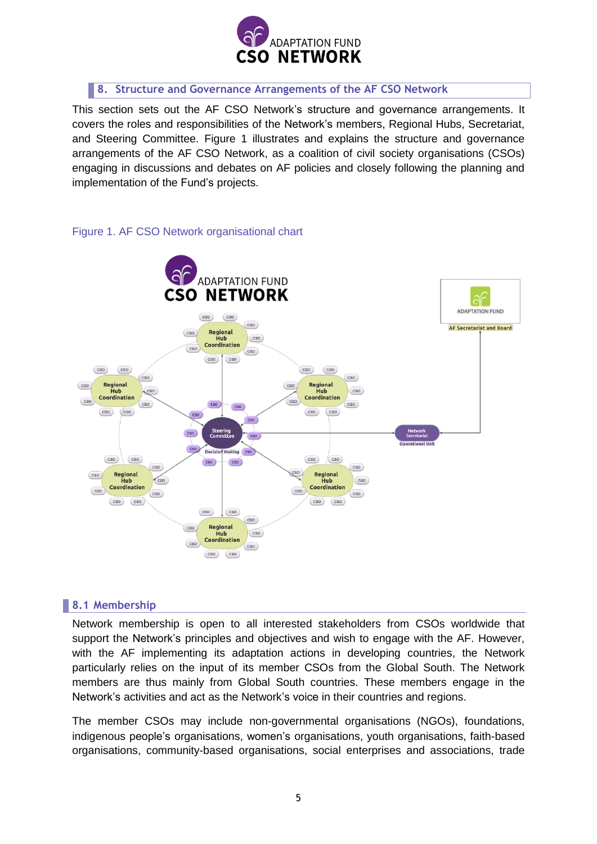

## <span id="page-4-0"></span>**8. Structure and Governance Arrangements of the AF CSO Network**

This section sets out the AF CSO Network's structure and governance arrangements. It covers the roles and responsibilities of the Network's members, Regional Hubs, Secretariat, and Steering Committee. Figure 1 illustrates and explains the structure and governance arrangements of the AF CSO Network, as a coalition of civil society organisations (CSOs) engaging in discussions and debates on AF policies and closely following the planning and implementation of the Fund's projects.



## Figure 1. AF CSO Network organisational chart

## **8.1 Membership**

<span id="page-4-1"></span>Network membership is open to all interested stakeholders from CSOs worldwide that support the Network's principles and objectives and wish to engage with the AF. However, with the AF implementing its adaptation actions in developing countries, the Network particularly relies on the input of its member CSOs from the Global South. The Network members are thus mainly from Global South countries. These members engage in the Network's activities and act as the Network's voice in their countries and regions.

The member CSOs may include non-governmental organisations (NGOs), foundations, indigenous people's organisations, women's organisations, youth organisations, faith-based organisations, community-based organisations, social enterprises and associations, trade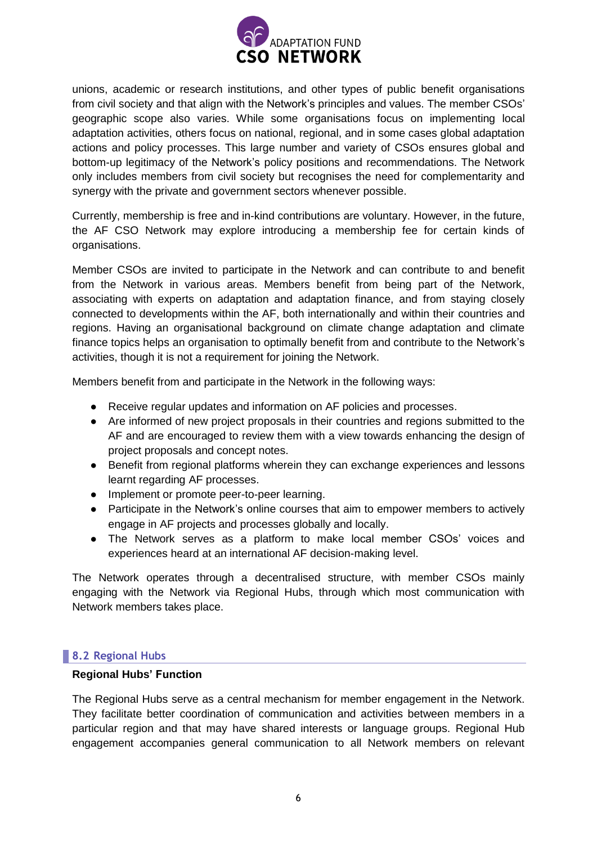

unions, academic or research institutions, and other types of public benefit organisations from civil society and that align with the Network's principles and values. The member CSOs' geographic scope also varies. While some organisations focus on implementing local adaptation activities, others focus on national, regional, and in some cases global adaptation actions and policy processes. This large number and variety of CSOs ensures global and bottom-up legitimacy of the Network's policy positions and recommendations. The Network only includes members from civil society but recognises the need for complementarity and synergy with the private and government sectors whenever possible.

Currently, membership is free and in-kind contributions are voluntary. However, in the future, the AF CSO Network may explore introducing a membership fee for certain kinds of organisations.

Member CSOs are invited to participate in the Network and can contribute to and benefit from the Network in various areas. Members benefit from being part of the Network, associating with experts on adaptation and adaptation finance, and from staying closely connected to developments within the AF, both internationally and within their countries and regions. Having an organisational background on climate change adaptation and climate finance topics helps an organisation to optimally benefit from and contribute to the Network's activities, though it is not a requirement for joining the Network.

Members benefit from and participate in the Network in the following ways:

- Receive regular updates and information on AF policies and processes.
- Are informed of new project proposals in their countries and regions submitted to the AF and are encouraged to review them with a view towards enhancing the design of project proposals and concept notes.
- Benefit from regional platforms wherein they can exchange experiences and lessons learnt regarding AF processes.
- Implement or promote peer-to-peer learning.
- Participate in the Network's online courses that aim to empower members to actively engage in AF projects and processes globally and locally.
- The Network serves as a platform to make local member CSOs' voices and experiences heard at an international AF decision-making level.

The Network operates through a decentralised structure, with member CSOs mainly engaging with the Network via Regional Hubs, through which most communication with Network members takes place.

## **8.2 Regional Hubs**

#### <span id="page-5-0"></span>**Regional Hubs' Function**

The Regional Hubs serve as a central mechanism for member engagement in the Network. They facilitate better coordination of communication and activities between members in a particular region and that may have shared interests or language groups. Regional Hub engagement accompanies general communication to all Network members on relevant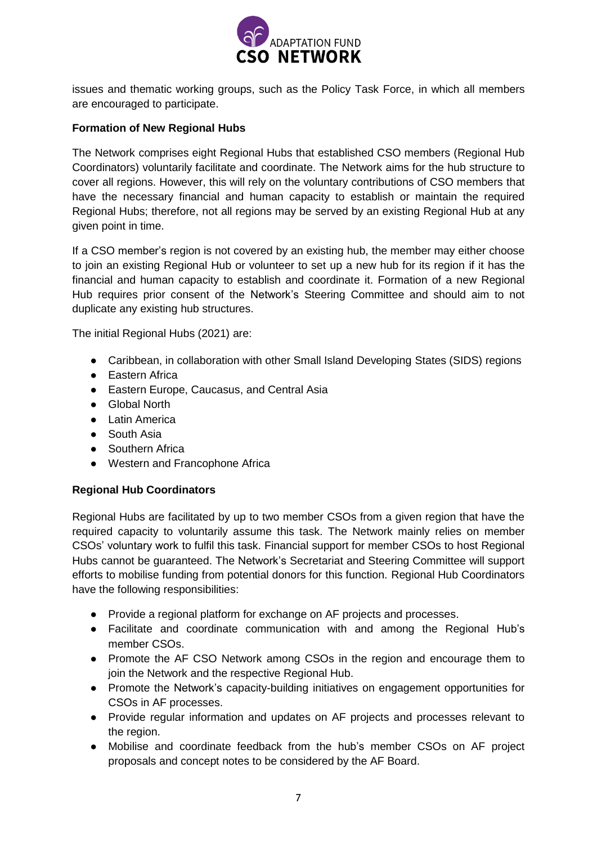

issues and thematic working groups, such as the Policy Task Force, in which all members are encouraged to participate.

## **Formation of New Regional Hubs**

The Network comprises eight Regional Hubs that established CSO members (Regional Hub Coordinators) voluntarily facilitate and coordinate. The Network aims for the hub structure to cover all regions. However, this will rely on the voluntary contributions of CSO members that have the necessary financial and human capacity to establish or maintain the required Regional Hubs; therefore, not all regions may be served by an existing Regional Hub at any given point in time.

If a CSO member's region is not covered by an existing hub, the member may either choose to join an existing Regional Hub or volunteer to set up a new hub for its region if it has the financial and human capacity to establish and coordinate it. Formation of a new Regional Hub requires prior consent of the Network's Steering Committee and should aim to not duplicate any existing hub structures.

The initial Regional Hubs (2021) are:

- Caribbean, in collaboration with other Small Island Developing States (SIDS) regions
- Eastern Africa
- Eastern Europe, Caucasus, and Central Asia
- Global North
- Latin America
- South Asia
- Southern Africa
- Western and Francophone Africa

## **Regional Hub Coordinators**

Regional Hubs are facilitated by up to two member CSOs from a given region that have the required capacity to voluntarily assume this task. The Network mainly relies on member CSOs' voluntary work to fulfil this task. Financial support for member CSOs to host Regional Hubs cannot be guaranteed. The Network's Secretariat and Steering Committee will support efforts to mobilise funding from potential donors for this function. Regional Hub Coordinators have the following responsibilities:

- Provide a regional platform for exchange on AF projects and processes.
- Facilitate and coordinate communication with and among the Regional Hub's member CSOs.
- Promote the AF CSO Network among CSOs in the region and encourage them to join the Network and the respective Regional Hub.
- Promote the Network's capacity-building initiatives on engagement opportunities for CSOs in AF processes.
- Provide regular information and updates on AF projects and processes relevant to the region.
- Mobilise and coordinate feedback from the hub's member CSOs on AF project proposals and concept notes to be considered by the AF Board.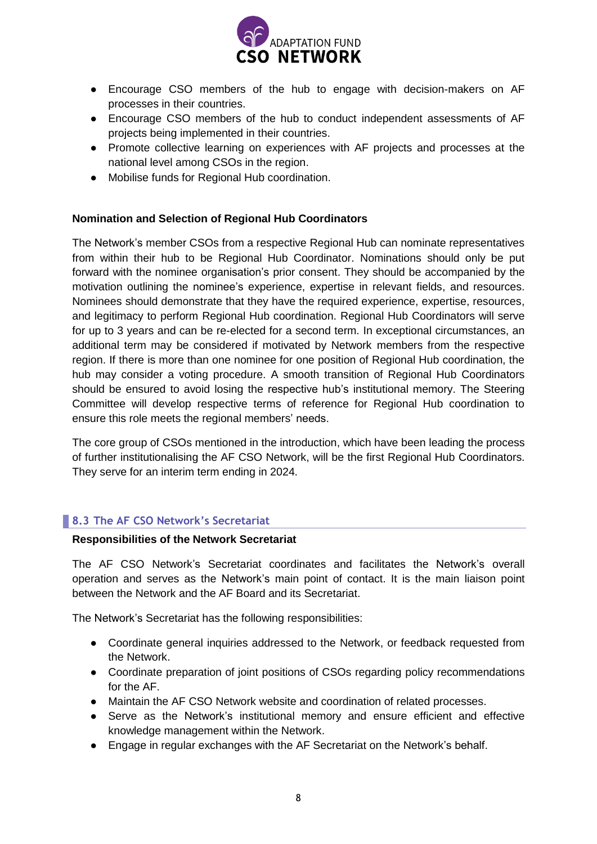

- Encourage CSO members of the hub to engage with decision-makers on AF processes in their countries.
- Encourage CSO members of the hub to conduct independent assessments of AF projects being implemented in their countries.
- Promote collective learning on experiences with AF projects and processes at the national level among CSOs in the region.
- Mobilise funds for Regional Hub coordination.

## **Nomination and Selection of Regional Hub Coordinators**

The Network's member CSOs from a respective Regional Hub can nominate representatives from within their hub to be Regional Hub Coordinator. Nominations should only be put forward with the nominee organisation's prior consent. They should be accompanied by the motivation outlining the nominee's experience, expertise in relevant fields, and resources. Nominees should demonstrate that they have the required experience, expertise, resources, and legitimacy to perform Regional Hub coordination. Regional Hub Coordinators will serve for up to 3 years and can be re-elected for a second term. In exceptional circumstances, an additional term may be considered if motivated by Network members from the respective region. If there is more than one nominee for one position of Regional Hub coordination, the hub may consider a voting procedure. A smooth transition of Regional Hub Coordinators should be ensured to avoid losing the respective hub's institutional memory. The Steering Committee will develop respective terms of reference for Regional Hub coordination to ensure this role meets the regional members' needs.

The core group of CSOs mentioned in the introduction, which have been leading the process of further institutionalising the AF CSO Network, will be the first Regional Hub Coordinators. They serve for an interim term ending in 2024.

# **8.3 The AF CSO Network's Secretariat**

#### <span id="page-7-0"></span>**Responsibilities of the Network Secretariat**

The AF CSO Network's Secretariat coordinates and facilitates the Network's overall operation and serves as the Network's main point of contact. It is the main liaison point between the Network and the AF Board and its Secretariat.

The Network's Secretariat has the following responsibilities:

- Coordinate general inquiries addressed to the Network, or feedback requested from the Network.
- Coordinate preparation of joint positions of CSOs regarding policy recommendations for the AF.
- Maintain the AF CSO Network website and coordination of related processes.
- Serve as the Network's institutional memory and ensure efficient and effective knowledge management within the Network.
- Engage in regular exchanges with the AF Secretariat on the Network's behalf.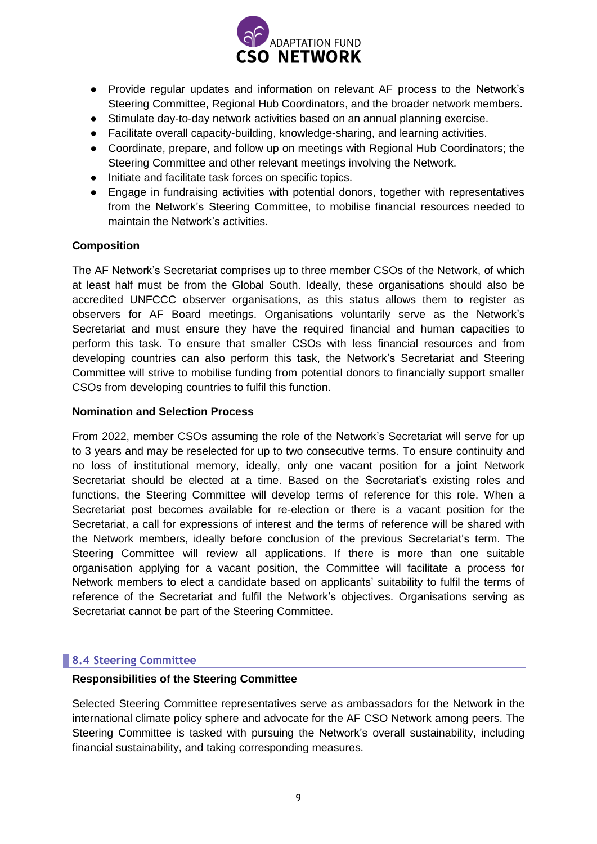

- Provide regular updates and information on relevant AF process to the Network's Steering Committee, Regional Hub Coordinators, and the broader network members.
- Stimulate day-to-day network activities based on an annual planning exercise.
- Facilitate overall capacity-building, knowledge-sharing, and learning activities.
- Coordinate, prepare, and follow up on meetings with Regional Hub Coordinators; the Steering Committee and other relevant meetings involving the Network.
- Initiate and facilitate task forces on specific topics.
- Engage in fundraising activities with potential donors, together with representatives from the Network's Steering Committee, to mobilise financial resources needed to maintain the Network's activities.

## **Composition**

The AF Network's Secretariat comprises up to three member CSOs of the Network, of which at least half must be from the Global South. Ideally, these organisations should also be accredited UNFCCC observer organisations, as this status allows them to register as observers for AF Board meetings. Organisations voluntarily serve as the Network's Secretariat and must ensure they have the required financial and human capacities to perform this task. To ensure that smaller CSOs with less financial resources and from developing countries can also perform this task, the Network's Secretariat and Steering Committee will strive to mobilise funding from potential donors to financially support smaller CSOs from developing countries to fulfil this function.

## **Nomination and Selection Process**

From 2022, member CSOs assuming the role of the Network's Secretariat will serve for up to 3 years and may be reselected for up to two consecutive terms. To ensure continuity and no loss of institutional memory, ideally, only one vacant position for a joint Network Secretariat should be elected at a time. Based on the Secretariat's existing roles and functions, the Steering Committee will develop terms of reference for this role. When a Secretariat post becomes available for re-election or there is a vacant position for the Secretariat, a call for expressions of interest and the terms of reference will be shared with the Network members, ideally before conclusion of the previous Secretariat's term. The Steering Committee will review all applications. If there is more than one suitable organisation applying for a vacant position, the Committee will facilitate a process for Network members to elect a candidate based on applicants' suitability to fulfil the terms of reference of the Secretariat and fulfil the Network's objectives. Organisations serving as Secretariat cannot be part of the Steering Committee.

# **8.4 Steering Committee**

## <span id="page-8-0"></span>**Responsibilities of the Steering Committee**

Selected Steering Committee representatives serve as ambassadors for the Network in the international climate policy sphere and advocate for the AF CSO Network among peers. The Steering Committee is tasked with pursuing the Network's overall sustainability, including financial sustainability, and taking corresponding measures.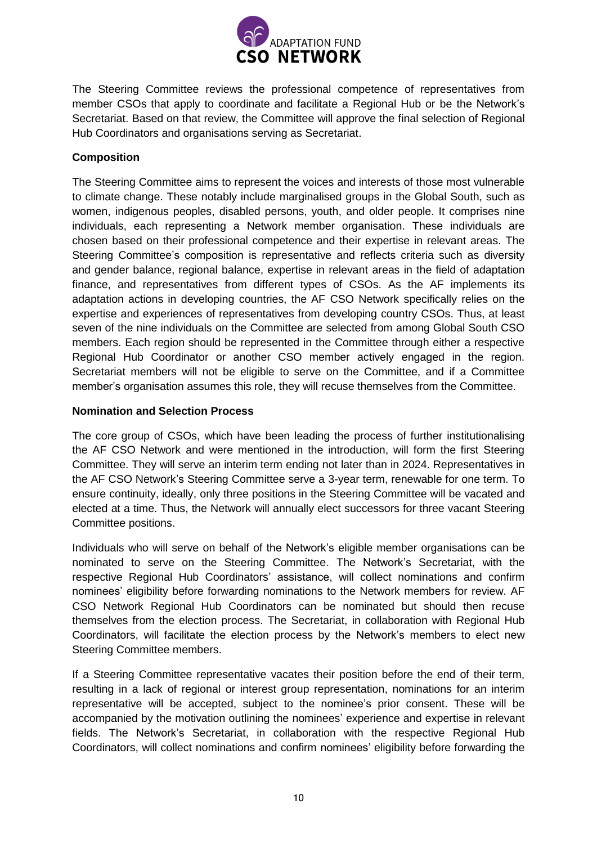

The Steering Committee reviews the professional competence of representatives from member CSOs that apply to coordinate and facilitate a Regional Hub or be the Network's Secretariat. Based on that review, the Committee will approve the final selection of Regional Hub Coordinators and organisations serving as Secretariat.

# **Composition**

The Steering Committee aims to represent the voices and interests of those most vulnerable to climate change. These notably include marginalised groups in the Global South, such as women, indigenous peoples, disabled persons, youth, and older people. It comprises nine individuals, each representing a Network member organisation. These individuals are chosen based on their professional competence and their expertise in relevant areas. The Steering Committee's composition is representative and reflects criteria such as diversity and gender balance, regional balance, expertise in relevant areas in the field of adaptation finance, and representatives from different types of CSOs. As the AF implements its adaptation actions in developing countries, the AF CSO Network specifically relies on the expertise and experiences of representatives from developing country CSOs. Thus, at least seven of the nine individuals on the Committee are selected from among Global South CSO members. Each region should be represented in the Committee through either a respective Regional Hub Coordinator or another CSO member actively engaged in the region. Secretariat members will not be eligible to serve on the Committee, and if a Committee member's organisation assumes this role, they will recuse themselves from the Committee.

## **Nomination and Selection Process**

The core group of CSOs, which have been leading the process of further institutionalising the AF CSO Network and were mentioned in the introduction, will form the first Steering Committee. They will serve an interim term ending not later than in 2024. Representatives in the AF CSO Network's Steering Committee serve a 3-year term, renewable for one term. To ensure continuity, ideally, only three positions in the Steering Committee will be vacated and elected at a time. Thus, the Network will annually elect successors for three vacant Steering Committee positions.

Individuals who will serve on behalf of the Network's eligible member organisations can be nominated to serve on the Steering Committee. The Network's Secretariat, with the respective Regional Hub Coordinators' assistance, will collect nominations and confirm nominees' eligibility before forwarding nominations to the Network members for review. AF CSO Network Regional Hub Coordinators can be nominated but should then recuse themselves from the election process. The Secretariat, in collaboration with Regional Hub Coordinators, will facilitate the election process by the Network's members to elect new Steering Committee members.

If a Steering Committee representative vacates their position before the end of their term, resulting in a lack of regional or interest group representation, nominations for an interim representative will be accepted, subject to the nominee's prior consent. These will be accompanied by the motivation outlining the nominees' experience and expertise in relevant fields. The Network's Secretariat, in collaboration with the respective Regional Hub Coordinators, will collect nominations and confirm nominees' eligibility before forwarding the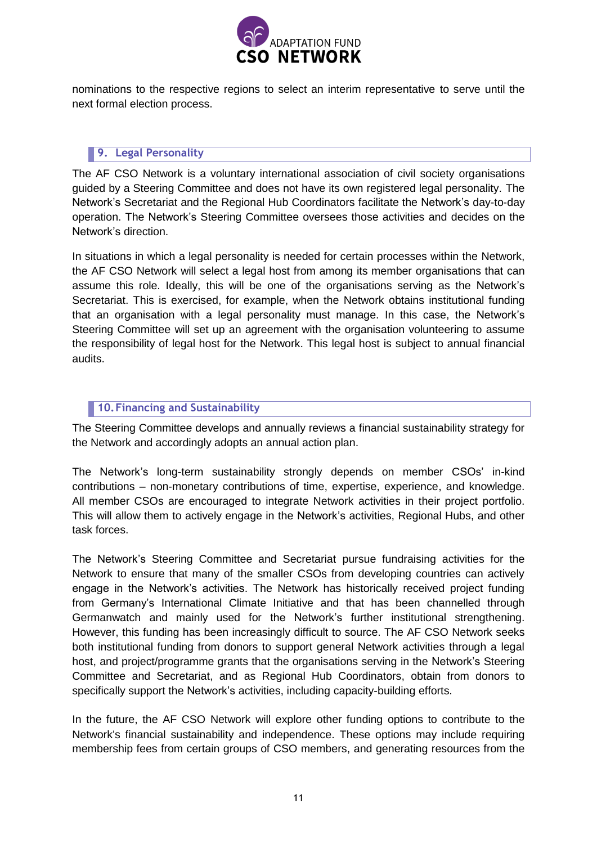

nominations to the respective regions to select an interim representative to serve until the next formal election process.

## <span id="page-10-0"></span>**9. Legal Personality**

The AF CSO Network is a voluntary international association of civil society organisations guided by a Steering Committee and does not have its own registered legal personality. The Network's Secretariat and the Regional Hub Coordinators facilitate the Network's day-to-day operation. The Network's Steering Committee oversees those activities and decides on the Network's direction.

In situations in which a legal personality is needed for certain processes within the Network, the AF CSO Network will select a legal host from among its member organisations that can assume this role. Ideally, this will be one of the organisations serving as the Network's Secretariat. This is exercised, for example, when the Network obtains institutional funding that an organisation with a legal personality must manage. In this case, the Network's Steering Committee will set up an agreement with the organisation volunteering to assume the responsibility of legal host for the Network. This legal host is subject to annual financial audits.

## <span id="page-10-1"></span>**10. Financing and Sustainability**

The Steering Committee develops and annually reviews a financial sustainability strategy for the Network and accordingly adopts an annual action plan.

The Network's long-term sustainability strongly depends on member CSOs' in-kind contributions – non-monetary contributions of time, expertise, experience, and knowledge. All member CSOs are encouraged to integrate Network activities in their project portfolio. This will allow them to actively engage in the Network's activities, Regional Hubs, and other task forces.

The Network's Steering Committee and Secretariat pursue fundraising activities for the Network to ensure that many of the smaller CSOs from developing countries can actively engage in the Network's activities. The Network has historically received project funding from Germany's International Climate Initiative and that has been channelled through Germanwatch and mainly used for the Network's further institutional strengthening. However, this funding has been increasingly difficult to source. The AF CSO Network seeks both institutional funding from donors to support general Network activities through a legal host, and project/programme grants that the organisations serving in the Network's Steering Committee and Secretariat, and as Regional Hub Coordinators, obtain from donors to specifically support the Network's activities, including capacity-building efforts.

In the future, the AF CSO Network will explore other funding options to contribute to the Network's financial sustainability and independence. These options may include requiring membership fees from certain groups of CSO members, and generating resources from the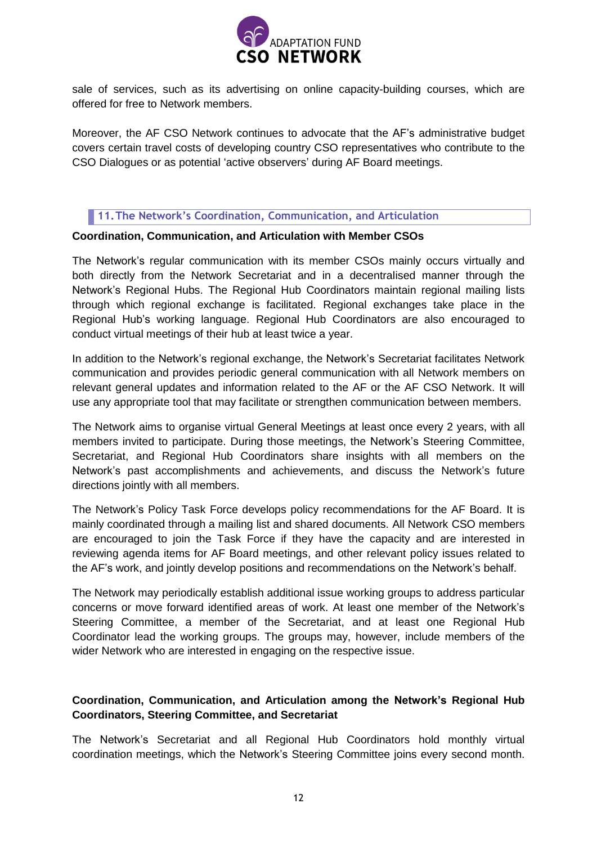

sale of services, such as its advertising on online capacity-building courses, which are offered for free to Network members.

Moreover, the AF CSO Network continues to advocate that the AF's administrative budget covers certain travel costs of developing country CSO representatives who contribute to the CSO Dialogues or as potential 'active observers' during AF Board meetings.

## <span id="page-11-0"></span>**11. The Network's Coordination, Communication, and Articulation**

#### **Coordination, Communication, and Articulation with Member CSOs**

The Network's regular communication with its member CSOs mainly occurs virtually and both directly from the Network Secretariat and in a decentralised manner through the Network's Regional Hubs. The Regional Hub Coordinators maintain regional mailing lists through which regional exchange is facilitated. Regional exchanges take place in the Regional Hub's working language. Regional Hub Coordinators are also encouraged to conduct virtual meetings of their hub at least twice a year.

In addition to the Network's regional exchange, the Network's Secretariat facilitates Network communication and provides periodic general communication with all Network members on relevant general updates and information related to the AF or the AF CSO Network. It will use any appropriate tool that may facilitate or strengthen communication between members.

The Network aims to organise virtual General Meetings at least once every 2 years, with all members invited to participate. During those meetings, the Network's Steering Committee, Secretariat, and Regional Hub Coordinators share insights with all members on the Network's past accomplishments and achievements, and discuss the Network's future directions jointly with all members.

The Network's Policy Task Force develops policy recommendations for the AF Board. It is mainly coordinated through a mailing list and shared documents. All Network CSO members are encouraged to join the Task Force if they have the capacity and are interested in reviewing agenda items for AF Board meetings, and other relevant policy issues related to the AF's work, and jointly develop positions and recommendations on the Network's behalf.

The Network may periodically establish additional issue working groups to address particular concerns or move forward identified areas of work. At least one member of the Network's Steering Committee, a member of the Secretariat, and at least one Regional Hub Coordinator lead the working groups. The groups may, however, include members of the wider Network who are interested in engaging on the respective issue.

## **Coordination, Communication, and Articulation among the Network's Regional Hub Coordinators, Steering Committee, and Secretariat**

The Network's Secretariat and all Regional Hub Coordinators hold monthly virtual coordination meetings, which the Network's Steering Committee joins every second month.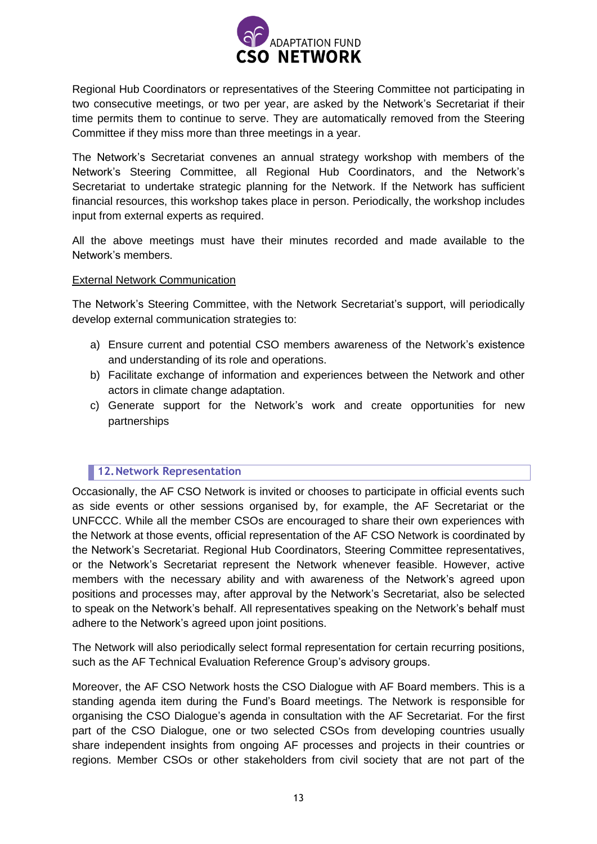

Regional Hub Coordinators or representatives of the Steering Committee not participating in two consecutive meetings, or two per year, are asked by the Network's Secretariat if their time permits them to continue to serve. They are automatically removed from the Steering Committee if they miss more than three meetings in a year.

The Network's Secretariat convenes an annual strategy workshop with members of the Network's Steering Committee, all Regional Hub Coordinators, and the Network's Secretariat to undertake strategic planning for the Network. If the Network has sufficient financial resources, this workshop takes place in person. Periodically, the workshop includes input from external experts as required.

All the above meetings must have their minutes recorded and made available to the Network's members.

#### External Network Communication

The Network's Steering Committee, with the Network Secretariat's support, will periodically develop external communication strategies to:

- a) Ensure current and potential CSO members awareness of the Network's existence and understanding of its role and operations.
- b) Facilitate exchange of information and experiences between the Network and other actors in climate change adaptation.
- c) Generate support for the Network's work and create opportunities for new partnerships

# <span id="page-12-0"></span>**12. Network Representation**

Occasionally, the AF CSO Network is invited or chooses to participate in official events such as side events or other sessions organised by, for example, the AF Secretariat or the UNFCCC. While all the member CSOs are encouraged to share their own experiences with the Network at those events, official representation of the AF CSO Network is coordinated by the Network's Secretariat. Regional Hub Coordinators, Steering Committee representatives, or the Network's Secretariat represent the Network whenever feasible. However, active members with the necessary ability and with awareness of the Network's agreed upon positions and processes may, after approval by the Network's Secretariat, also be selected to speak on the Network's behalf. All representatives speaking on the Network's behalf must adhere to the Network's agreed upon joint positions.

The Network will also periodically select formal representation for certain recurring positions, such as the AF Technical Evaluation Reference Group's advisory groups.

Moreover, the AF CSO Network hosts the CSO Dialogue with AF Board members. This is a standing agenda item during the Fund's Board meetings. The Network is responsible for organising the CSO Dialogue's agenda in consultation with the AF Secretariat. For the first part of the CSO Dialogue, one or two selected CSOs from developing countries usually share independent insights from ongoing AF processes and projects in their countries or regions. Member CSOs or other stakeholders from civil society that are not part of the